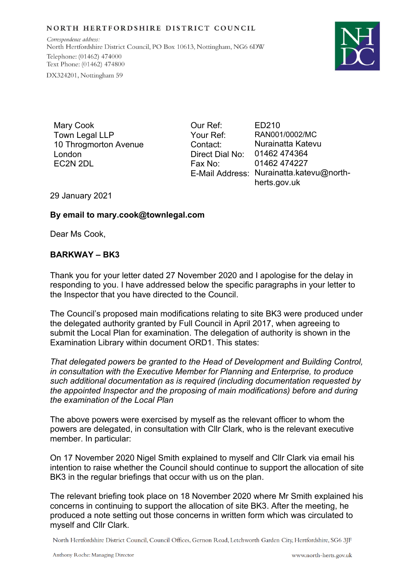## NORTH HERTFORDSHIRE DISTRICT COUNCIL

Correspondence address: North Hertfordshire District Council, PO Box 10613, Nottingham, NG6 6DW Telephone: (01462) 474000 Text Phone: (01462) 474800 DX324201, Nottingham 59



Mary Cook Town Legal LLP 10 Throgmorton Avenue London EC2N 2DL

Our Ref: Your Ref: Contact: Direct Dial No: Fax No:

E-Mail Address: Nurainatta.katevu@north-ED210 RAN001/0002/MC Nurainatta Katevu 01462 474364 01462 474227 herts.gov.uk

29 January 2021

## **By email to mary.cook@townlegal.com**

Dear Ms Cook,

## **BARKWAY – BK3**

Thank you for your letter dated 27 November 2020 and I apologise for the delay in responding to you. I have addressed below the specific paragraphs in your letter to the Inspector that you have directed to the Council.

The Council's proposed main modifications relating to site BK3 were produced under the delegated authority granted by Full Council in April 2017, when agreeing to submit the Local Plan for examination. The delegation of authority is shown in the Examination Library within document ORD1. This states:

*That delegated powers be granted to the Head of Development and Building Control, in consultation with the Executive Member for Planning and Enterprise, to produce such additional documentation as is required (including documentation requested by the appointed Inspector and the proposing of main modifications) before and during the examination of the Local Plan*

The above powers were exercised by myself as the relevant officer to whom the powers are delegated, in consultation with Cllr Clark, who is the relevant executive member. In particular:

On 17 November 2020 Nigel Smith explained to myself and Cllr Clark via email his intention to raise whether the Council should continue to support the allocation of site BK3 in the regular briefings that occur with us on the plan.

The relevant briefing took place on 18 November 2020 where Mr Smith explained his concerns in continuing to support the allocation of site BK3. After the meeting, he produced a note setting out those concerns in written form which was circulated to myself and Cllr Clark.

North Hertfordshire District Council, Council Offices, Gernon Road, Letchworth Garden City, Hertfordshire, SG6 3JF